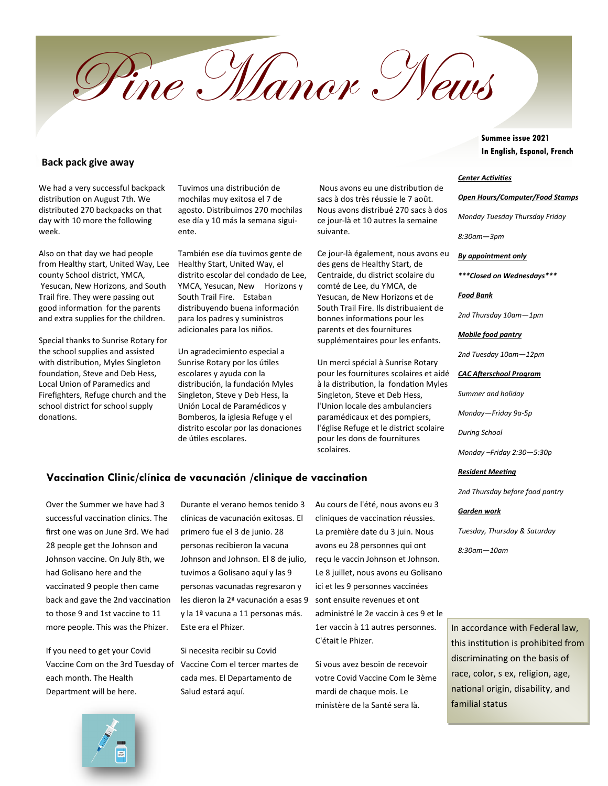Pine Manor News

**Back pack give away**

We had a very successful backpack distribution on August 7th. We distributed 270 backpacks on that day with 10 more the following week.

Also on that day we had people from Healthy start, United Way, Lee county School district, YMCA, Yesucan, New Horizons, and South Trail fire. They were passing out good information for the parents and extra supplies for the children.

Special thanks to Sunrise Rotary for the school supplies and assisted with distribution, Myles Singleton foundation, Steve and Deb Hess, Local Union of Paramedics and Firefighters, Refuge church and the school district for school supply donations.

Tuvimos una distribución de mochilas muy exitosa el 7 de agosto. Distribuimos 270 mochilas ese día y 10 más la semana siguiente.

También ese día tuvimos gente de Healthy Start, United Way, el distrito escolar del condado de Lee, YMCA, Yesucan, New Horizons y South Trail Fire. Estaban distribuyendo buena información para los padres y suministros adicionales para los niños.

Un agradecimiento especial a Sunrise Rotary por los útiles escolares y ayuda con la distribución, la fundación Myles Singleton, Steve y Deb Hess, la Unión Local de Paramédicos y Bomberos, la iglesia Refuge y el distrito escolar por las donaciones de útiles escolares.

Nous avons eu une distribution de sacs à dos très réussie le 7 août. Nous avons distribué 270 sacs à dos ce jour-là et 10 autres la semaine suivante.

Ce jour-là également, nous avons eu des gens de Healthy Start, de Centraide, du district scolaire du comté de Lee, du YMCA, de Yesucan, de New Horizons et de South Trail Fire. Ils distribuaient de bonnes informations pour les parents et des fournitures supplémentaires pour les enfants.

Un merci spécial à Sunrise Rotary pour les fournitures scolaires et aidé à la distribution, la fondation Myles Singleton, Steve et Deb Hess, l'Union locale des ambulanciers paramédicaux et des pompiers, l'église Refuge et le district scolaire pour les dons de fournitures scolaires.

### **Vaccination Clinic/clínica de vacunación /clinique de vaccination**

Over the Summer we have had 3 successful vaccination clinics. The first one was on June 3rd. We had 28 people get the Johnson and Johnson vaccine. On July 8th, we had Golisano here and the vaccinated 9 people then came back and gave the 2nd vaccination to those 9 and 1st vaccine to 11 more people. This was the Phizer.

If you need to get your Covid Vaccine Com on the 3rd Tuesday of Vaccine Com el tercer martes de each month. The Health Department will be here.

Durante el verano hemos tenido 3 clínicas de vacunación exitosas. El primero fue el 3 de junio. 28 personas recibieron la vacuna Johnson and Johnson. El 8 de julio, tuvimos a Golisano aquí y las 9 personas vacunadas regresaron y les dieron la 2ª vacunación a esas 9 y la 1ª vacuna a 11 personas más. Este era el Phizer.

Si necesita recibir su Covid cada mes. El Departamento de Salud estará aquí.

Au cours de l'été, nous avons eu 3 cliniques de vaccination réussies. La première date du 3 juin. Nous avons eu 28 personnes qui ont reçu le vaccin Johnson et Johnson. Le 8 juillet, nous avons eu Golisano ici et les 9 personnes vaccinées sont ensuite revenues et ont administré le 2e vaccin à ces 9 et le 1er vaccin à 11 autres personnes. C'était le Phizer.

Si vous avez besoin de recevoir votre Covid Vaccine Com le 3ème mardi de chaque mois. Le ministère de la Santé sera là.

Summee issue 2021 In English, Espanol, French

#### *Center Activities*

*Open Hours/Computer/Food Stamps* 

*Monday Tuesday Thursday Friday* 

*8:30am—3pm* 

*By appointment only*

*\*\*\*Closed on Wednesdays\*\*\**

*Food Bank* 

*2nd Thursday 10am—1pm*

*Mobile food pantry*

*2nd Tuesday 10am—12pm*

*CAC Afterschool Program* 

*Summer and holiday*

*Monday—Friday 9a-5p*

*During School*

*Monday –Friday 2:30—5:30p*

#### *Resident Meeting*

*2nd Thursday before food pantry*

#### *Garden work*

*Tuesday, Thursday & Saturday*

*8:30am—10am*

In accordance with Federal law, this institution is prohibited from discriminating on the basis of race, color, s ex, religion, age, national origin, disability, and familial status

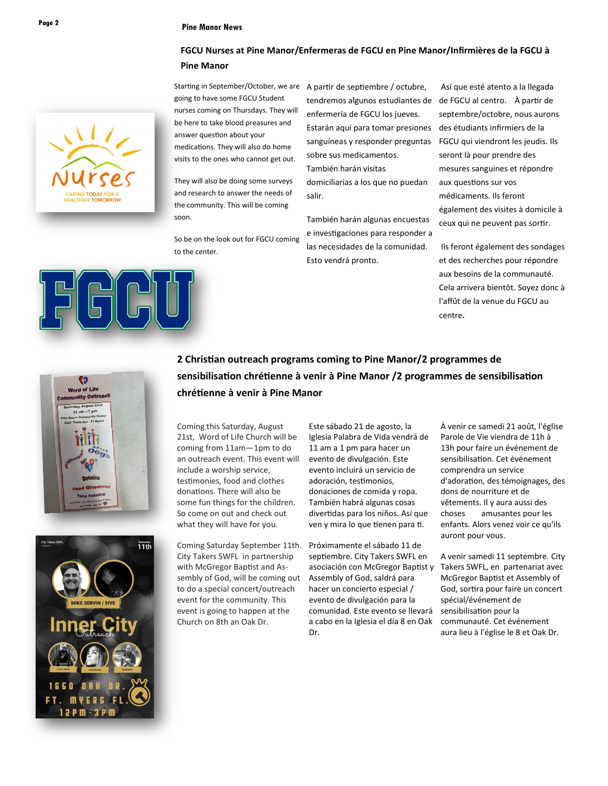### **Pine Manor News Page 2**

### **FGCU Nurses at Pine Manor/Enfermeras de FGCU en Pine Manor/Infirmières de la FGCU à Pine Manor**

Starting in September/October, we are A partir de septiembre / octubre, going to have some FGCU Student nurses coming on Thursdays. They will be here to take blood preasures and answer question about your medications. They will also do home visits to the ones who cannot get out.

They will also be doing some surveys and research to answer the needs of the community. This will be coming soon.

So be on the look out for FGCU coming to the center.

tendremos algunos estudiantes de de FGCU al centro. À partir de enfermería de FGCU los jueves. Estarán aquí para tomar presiones sanguíneas y responder preguntas sobre sus medicamentos.

También harán visitas domiciliarias a los que no puedan salir.

También harán algunas encuestas e investigaciones para responder a las necesidades de la comunidad. Esto vendrá pronto.

Así que esté atento a la llegada septembre/octobre, nous aurons des étudiants infirmiers de la FGCU qui viendront les jeudis. Ils seront là pour prendre des mesures sanguines et répondre aux questions sur vos médicaments. Ils feront également des visites à domicile à ceux qui ne peuvent pas sortir.

Ils feront également des sondages et des recherches pour répondre aux besoins de la communauté. Cela arrivera bientôt. Soyez donc à l'affût de la venue du FGCU au centre.



# **2 Christian outreach programs coming to Pine Manor/2 programmes de sensibilisation chrétienne à venir à Pine Manor /2 programmes de sensibilisation chrétienne à venir à Pine Manor**

Coming this Saturday, August 21st, Word of Life Church will be coming from 11am—1pm to do an outreach event. This event will include a worship service, testimonies, food and clothes donations. There will also be some fun things for the children. So come on out and check out what they will have for you.

Coming Saturday September 11th. City Takers SWFL in partnership with McGregor Baptist and Assembly of God, will be coming out to do a special concert/outreach event for the community. This event is going to happen at the Church on 8th an Oak Dr.

Este sábado 21 de agosto, la Iglesia Palabra de Vida vendrá de 11 am a 1 pm para hacer un evento de divulgación. Este evento incluirá un servicio de adoración, testimonios, donaciones de comida y ropa. También habrá algunas cosas divertidas para los niños. Así que ven y mira lo que tienen para ti.

Próximamente el sábado 11 de septiembre. City Takers SWFL en asociación con McGregor Baptist y Assembly of God, saldrá para hacer un concierto especial / evento de divulgación para la comunidad. Este evento se llevará a cabo en la Iglesia el día 8 en Oak Dr.

À venir ce samedi 21 août, l'église Parole de Vie viendra de 11h à 13h pour faire un événement de sensibilisation. Cet événement comprendra un service d'adoration, des témoignages, des dons de nourriture et de vêtements. Il y aura aussi des choses amusantes pour les enfants. Alors venez voir ce qu'ils auront pour vous.

A venir samedi 11 septembre. City Takers SWFL, en partenariat avec McGregor Baptist et Assembly of God, sortira pour faire un concert spécial/événement de sensibilisation pour la communauté. Cet événement aura lieu à l'église le 8 et Oak Dr.

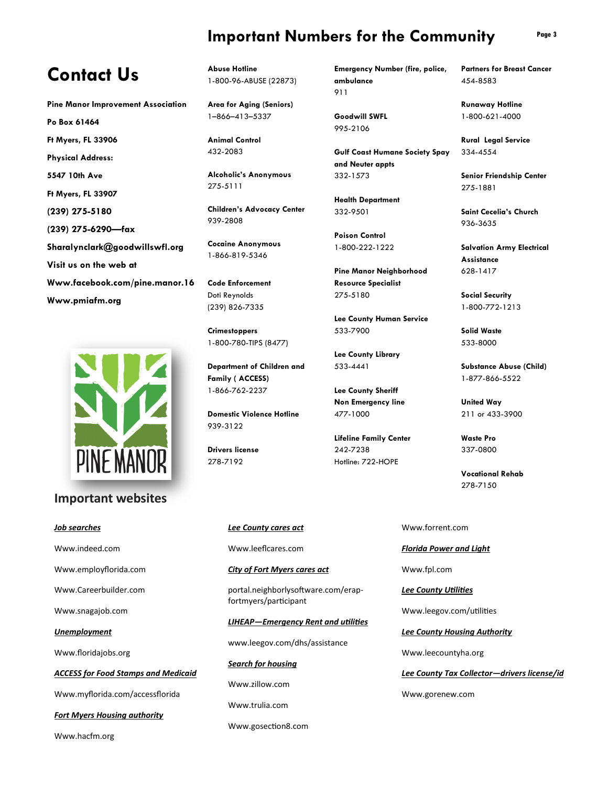# **Important Numbers for the Community**

# **Contact Us**

**Pine Manor Improvement Association** 

**Po Box 61464 Ft Myers, FL 33906 Physical Address: 5547 10th Ave Ft Myers, FL 33907 (239) 275-5180 (239) 275-6290—fax Sharalynclark@goodwillswfl.org** 

**Visit us on the web at Www.facebook.com/pine.manor.16 Www.pmiafm.org** 



## **Important websites**

### *Job searches*

Www.indeed.com

Www.employflorida.com

Www.Careerbuilder.com

Www.snagajob.com

*Unemployment*

Www.floridajobs.org

*ACCESS for Food Stamps and Medicaid*

Www.myflorida.com/accessflorida

*Fort Myers Housing authority*

Www.hacfm.org

**Abuse Hotline**  1-800-96-ABUSE (22873)

**Area for Aging (Seniors)**  1–866–413–5337

**Animal Control**  432-2083

**Alcoholic's Anonymous**  275-5111

**Children's Advocacy Center**  939-2808

**Cocaine Anonymous**  1-866-819-5346

**Code Enforcement**  Doti Reynolds (239) 826-7335

**Crimestoppers**  1-800-780-TIPS (8477)

**Department of Children and Family ( ACCESS)**  1-866-762-2237

**Domestic Violence Hotline**  939-3122

> *Lee County cares act* Www.leeflcares.com

fortmyers/participant

*Search for housing*

Www.zillow.com

Www.trulia.com

Www.gosection8.com

*City of Fort Myers cares act*

portal.neighborlysoftware.com/erap-

*LIHEAP—Emergency Rent and utilities* 

www.leegov.com/dhs/assistance

**Drivers license**  278-7192

**Emergency Number (fire, police, ambulance**  911

**Goodwill SWFL**  995-2106

**Gulf Coast Humane Society Spay and Neuter appts**  332-1573

**Health Department**  332-9501

**Poison Control**  1-800-222-1222

**Pine Manor Neighborhood Resource Specialist**  275-5180

**Lee County Human Service**  533-7900

**Lee County Library**  533-4441

**Lee County Sheriff Non Emergency line**  477-1000

**Lifeline Family Center**  242-7238 Hotline: 722-HOPE

**Partners for Breast Cancer**  454-8583

**Runaway Hotline**  1-800-621-4000

**Rural Legal Service**  334-4554

**Senior Friendship Center**  275-1881

**Saint Cecelia's Church**  936-3635

**Salvation Army Electrical Assistance**  628-1417

**Social Security**  1-800-772-1213

**Solid Waste**  533-8000

**Substance Abuse (Child)**  1-877-866-5522

**United Way**  211 or 433-3900

**Waste Pro**  337-0800

**Vocational Rehab**  278-7150

Www.forrent.com

*Florida Power and Light*

Www.fpl.com

*Lee County Utilities*

Www.leegov.com/utilities

*Lee County Housing Authority*

Www.leecountyha.org

*Lee County Tax Collector—drivers license/id*

Www.gorenew.com